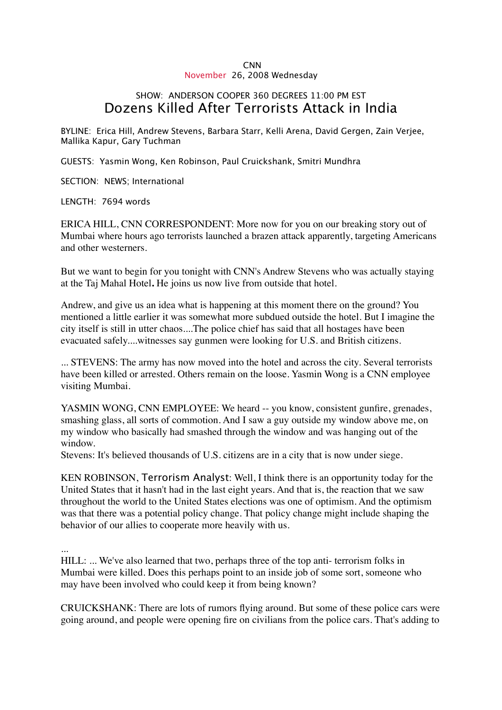## CNN November 26, 2008 Wednesday

## SHOW: ANDERSON COOPER 360 DEGREES 11:00 PM EST Dozens Killed After Terrorists Attack in India

BYLINE: Erica Hill, Andrew Stevens, Barbara Starr, Kelli Arena, David Gergen, Zain Verjee, Mallika Kapur, Gary Tuchman

GUESTS: Yasmin Wong, Ken Robinson, Paul Cruickshank, Smitri Mundhra

SECTION: NEWS; International

LENGTH: 7694 words

ERICA HILL, CNN CORRESPONDENT: More now for you on our breaking story out of Mumbai where hours ago terrorists launched a brazen attack apparently, targeting Americans and other westerners.

But we want to begin for you tonight with CNN's Andrew Stevens who was actually staying at the Taj Mahal Hotel**.** He joins us now live from outside that hotel.

Andrew, and give us an idea what is happening at this moment there on the ground? You mentioned a little earlier it was somewhat more subdued outside the hotel. But I imagine the city itself is still in utter chaos....The police chief has said that all hostages have been evacuated safely....witnesses say gunmen were looking for U.S. and British citizens.

... STEVENS: The army has now moved into the hotel and across the city. Several terrorists have been killed or arrested. Others remain on the loose. Yasmin Wong is a CNN employee visiting Mumbai.

YASMIN WONG, CNN EMPLOYEE: We heard -- you know, consistent gunfire, grenades, smashing glass, all sorts of commotion. And I saw a guy outside my window above me, on my window who basically had smashed through the window and was hanging out of the window.

Stevens: It's believed thousands of U.S. citizens are in a city that is now under siege.

KEN ROBINSON, Terrorism Analyst: Well, I think there is an opportunity today for the United States that it hasn't had in the last eight years. And that is, the reaction that we saw throughout the world to the United States elections was one of optimism. And the optimism was that there was a potential policy change. That policy change might include shaping the behavior of our allies to cooperate more heavily with us.

...

HILL: ... We've also learned that two, perhaps three of the top anti- terrorism folks in Mumbai were killed. Does this perhaps point to an inside job of some sort, someone who may have been involved who could keep it from being known?

CRUICKSHANK: There are lots of rumors flying around. But some of these police cars were going around, and people were opening fire on civilians from the police cars. That's adding to